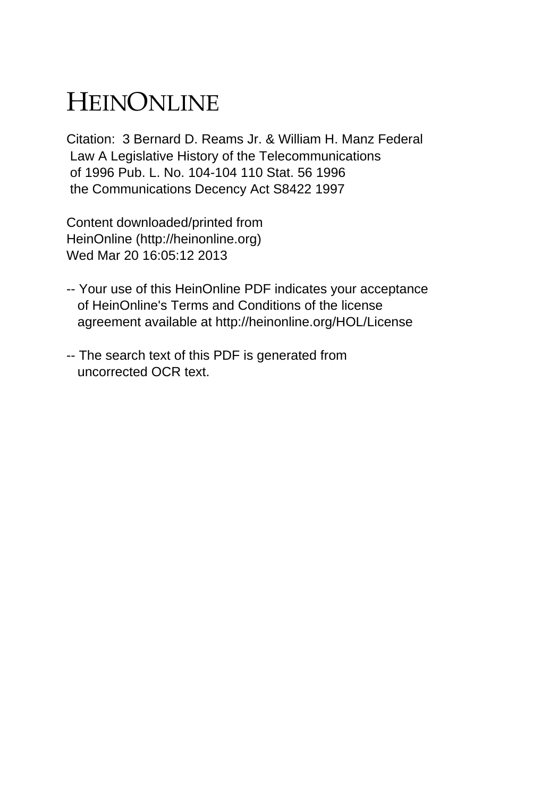## HEINONLINE

Citation: 3 Bernard D. Reams Jr. & William H. Manz Federal Law A Legislative History of the Telecommunications of 1996 Pub. L. No. 104-104 110 Stat. 56 1996 the Communications Decency Act S8422 1997

Content downloaded/printed from HeinOnline (http://heinonline.org) Wed Mar 20 16:05:12 2013

- -- Your use of this HeinOnline PDF indicates your acceptance of HeinOnline's Terms and Conditions of the license agreement available at http://heinonline.org/HOL/License
- -- The search text of this PDF is generated from uncorrected OCR text.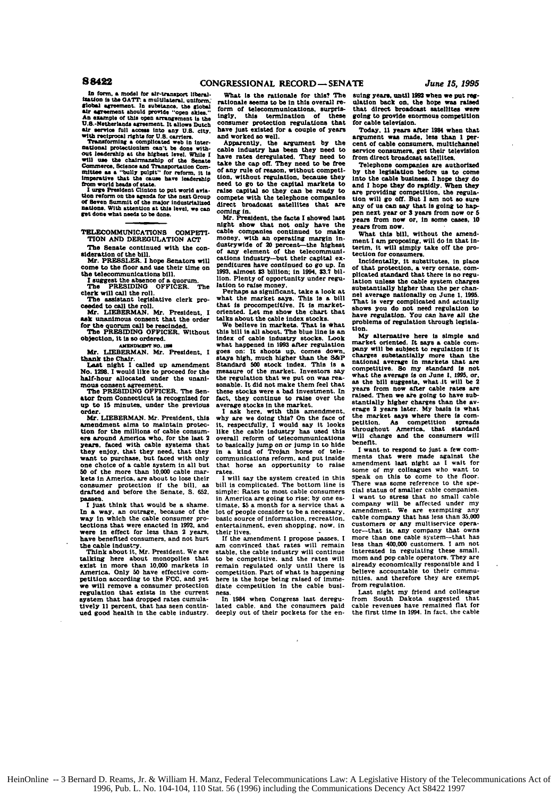**CONGRESSIONAL RECORD-SENATE** 

**In form, a model for air-transport liberal-**<br>**ization** is the GATT: a multilateral, uniform. structure and provide "open altest"<br>An example of this open arrangement is the<br>U.S.-Netherlands agreement, it allows Dutch<br>air service full access into any U.S. city,<br>air service full access into any U.S. city,<br>Transformin

national protectionism can't be done with-<br>out leadership at the highest level. While I will use the chairman<br>hip of the Senate<br>Commerce, Science and Transportation Com-<br>mittee as a "bully pulpti" for reform, it is<br>imperat **orom** world **heads of** state. **<sup>I</sup>**urge President Clinton to put world **avia-**

tion reform **on** the agenda. for the next Group **of** Seven Summit **of** the major Industrisized **nations.** With attention at this level, **we Can** get **done** what needs to **be** done.

**"TLECOMMUNICATIONS** COMPETI-TION **AND DEREGULATION ACT**

The Senate continued with the consideration of the **bill.** Mr. PRSSLER. **I** hope Senators will

come to the floor **and** use their time on the telecommunications **bill.**

**Isuggest the absence of a quorum.<br>The PRESIDING OFFICER. The The PRESIDING** OFFICER. The clerk will call the roll. **The** assistant legislative clerk pro-

ceeded to call the roll. Mr. LIEBERMAN. Mr. President. **<sup>I</sup>**

**ask** unanimous consent that the order for the quorum call be rescinded. **The** PRESIDING OFFICER. Without

objection, it is so ordered.

**AMIDRIDI(T NO.** *use* Mr. LIEBERMAN. Mr. President. **<sup>I</sup>**

**thank** the Chair. Last night **I** called up amendment No. **1298. I** would like to proceed for the half-hour allocated under the unani-

**mous** consent agreement. The **PRESIDING** OFFICER. The Senator from Connecticut is recognized for up to **15** minutes. under the previous order.

Mr. LIEBERMAN. Mr. President. this amendment alms to maintain protec-tion for the millions **of** cable consumers around America who. for the **lest** <sup>2</sup> **years,** faced with cable systems that they enjoy, that they need, that they want to purchase, but faced with only one choice of **a** cable system in all but **So** of the more than **10,000** cable markets in America, are about to lose their consumer protection if the **bill,** as drafted and before the Senate. **S. 652.** passes.

**I** just think that would be a shame. n a way, an outrage, because **of** the way in which the cable consumer protections that were enacted In **1992.** and were In effect for less than 2 years. have benefited consumers, and not hurt the cable Industry. Think about it, Mr. President. We are

talking here about monopolies that exist in more than **10,000** markets **in** America. Only **50** have effective competition according to the **FCC.** and yet we will remove a consumer protection regulation that exists in the current system that has dropped rates cumulatively **11** percent. that has seen continued good health in the cable industry.

What **Is** the rationale for this? **The** form of telecommunications, surpris-<br>
ingly this termination of these **ingly,** this termination of these consumer protection regulations that have just existed for **a** couple of years

Apparently, the argument by the cable industry has been they need to have rates deregulated. They need to take the cap off. They need to be free of any rule of reason, without competition, without regulation, because they need to go to the capital markets to raise capital so they can be ready to compete with the telephone companies direct broadcast satellites that are<br>coming in.

Mr. President. the facts I showed last night show that not only have the cable companies continued to make dustrywide of 20 percent---the highest dustrywide of 20 percent---the highest of any element of the telecommuni-<br>cations industry--but their capital ex-**1993.** almost *S*1 billion; In 1994, \$3.7 bil-<br>1993. almost \$3 billion; In 1994, \$3.7 bil-<br>1ion. Plenty of opportunity under regu-<br>lation to raise money.

lation to raise money, Perhaps as significant, take **a** look at what the market says. This is **a** bill that is procompetitive. It is market-oriented. Let me show the chart that

talks about the cable index stocks.<br>We believe in markets. That is what<br>this bill is all about. The blue line is an index of cable industry stocks. Look what happened in 1993 after regulation goes on: It shoots **up, comes down.**<br>stays high, much higher than the S&P Standard 500 stock index. This is a<br>measure of the market. Investors say<br>the regulation that we put on was reasonable. It did not make them feel that<br>these stocks were a bad investment. In these stocks were a bad investment. In fact, they continue to **raise** over the

average stocks In the market. **<sup>I</sup>**ask here, with this amendment. why are we doing this? On the face **of It.** respectfully, **I** would say It **looks** like the cable Industry has used this overall reform of telecommunications to basically jump on or jump in to hide<br>in a kind of Trojan horse of tele-In **a** kind of Trojan horse **of** tele. communications reform, and put inside that horse an opportunity to raise rates.

will say the system created in this bill is complicated. The bottom **line** is simple: Rates to most cable consumers in America are going to rise: by one estimate. **\$5** a month for a service that a lot of people consider to be a necessary. basic source of information, recreation. entertainment, even shopping, now, in

their lives. **If** the amendment **I** propose passes, **<sup>I</sup>** am convinced that **rates will** remain stable, the cable industry will continue<br>to be competitive, and the rates will remain regulated only until there is competition. Part of what Is happening here is the hope being raised of imme- diate competition in the cable business.

In 1984 when Congress last deregulated cable, and the consumers paid deeply out of their pockets for the en-

suing years, until 1992 when we put regulation back **on.** the hope **was** raised that direct broadcast satellites were going to provide enormous competition for cable television.

Today. **11** years after 1984 when that argument was made, less than **1** percent **of** cable consumers, multichannel service consumers, get their television from direct broadcast **Satellites.**

Telephone companies are authorized **by** the legislation before us to come into the cable business. **I** hope they do and **I** hope they do **rapidly.** When **they are** providing competition, the regula- tion will go off. But **I** am not so sure **any** of us can **say** that Is going to happen next year or **3** years from now or **5** years from now or, In some cases. **10** years from now.<br>What this bill, without the amend-

ment I am proposing, will do in that in-<br>terim, it will simply take off the pro-<br>tection for consumers.

Incidentally, It substitutes, in place of that protection, **a** very ornate, comphicated standard standard state is no regular that the cable system charges substantially higher than the per chan-<br>nel average nationally on June 1, 1995. nel average nationally on June **1. 1995.** That is very complicated and actually shows you do not need regulation to have regulation. You can have **all the** problems of regulation through legisla-<br>tion.<br>My alternative here is simple and

"symbol of the subject to regulation if it<br>pany will be subject to regulation if it<br>charges substantially more than the<br>national average in markets that are what the average is on June **1. 1995.** or. as the **bill suggests**, what It will be 2 years from now after cable rates are raised. Then we are going to have substantially higher charges than the avraised. Then we **are** going to have sub- stantially higher charges than the av- erage 2 years later. **My** basis is what the market **says** where there **is** competition. **As** competition spreads throughout America, that standard will change and the consumers will

benefit.<br>I want to respond to just a few comments that were made against the amendment last night as I wait for some of my colleagues who want to<br>speak on this to come to the floor. There was some reference to the spe-<br>cial status of smaller cable companies. **<sup>I</sup>**want to stress that no small cable company will be affected under my amendment. We are exempting any cable company that has less than **35.000** customers or any multiservice operacustomers or any multiservice operator-that is, any company that owns more than one cable system-that has less than 400,000 customers. I am not interested in regulating these small. mom and pop cable operators. They are already economically responsible and **I** believe accountable to their communities, and therefore they are exempt from regulation.

Last night my friend and colleague from South Dakota suggested that cable revenues have remained flat for the first time In 1994. In fact, the cable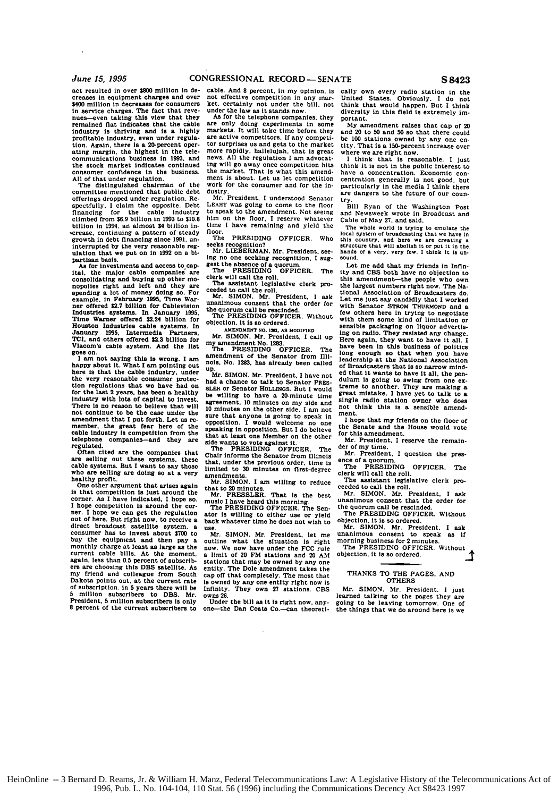## *June* **15, 1995 CO**

act resulted in over **\$3800** million in decreases In equipment charges and over £400 million in decreases for consumers in service charges. The fact that reve-nues-even taking this view that they remained **flat** indicates that the cable industry is thriving and **is** a **highly** profitable industry, even under regulation. Again. there is a 20-percent oper-ating margin, the highest In the telecommunications business in **1993.** and the stock market Indicates continued consumer confidence In the business. **All** of that under regulation. The distinguished chairman of the committee mentioned that public debt

offerings dropped under regulation. Re-<br>offerings dropped under regulation. Respectrum<sub>s</sub>. I claim the opposite. Debt<br>financing for the cable industry<br>climbed from \$6.9 billion in 1993 to \$10.8 climbed from **\$6.9** billion in **1993** to \$10.8 billion in 1994. an almost **S4** billion in- -crease, continuing a pattern of steady interrupted by the very reasonable reg-<br>ulation that we put on in 1992 on a bi-<br>partisan basis.

partisan basis. As for investments and access to cap-Ital, the major cable companies are consolidating and buying up other moconsolution in a better and left and they are<br>spending a lot of money doing so. For<br>example, in February 1995, Time war-<br>ner offered \$2.7 billion for Cablevision Industries systems. In January 1995,<br>Time Warner offered \$2.24 billion for<br>Houston Industries cable systems. In<br>January 1995, Intermedia Partners,<br>TCI, and others offered \$2.3 billion for<br>Viacom's cable system. And the lis

gress on.<br>I am not saying this is wrong. I am<br>happy about it. What I am pointing out<br>here is that the cable industry, under<br>the very reasonable consumer protec-<br>tion regulations that we have had on<br>for the last 2 years, ha There is no reason to believe that will not continue to be the case under the case under the amendment that I put forth. Let us remember, the great fear here of the cable industry is competition from the telephone companie

State comes in the indicated, it hope so, it is that competition is just around the corner. As I have indicated, I hope so need the outer I hope we can get the regulation out of here. But right now, to receive a direct bro

cable. And 8 percent, in my opinion, is<br>not effective competition in any mar-<br>not set. certainly not under the bill, mot<br>ket. certainly not under the bill, mot<br>affective competion comparison.<br>As for the telephone compariso

Mr. President. I understood Senator LEAHY was going to come to the amendment. Not seeing him on the floor. I reserve whatever time **I** have remaining and yield the floor. The **PRESIDING OFFICER**. Who

Seeks recognition?<br>Mr. LIEBERMAN. Mr. President. see-<br>Ing no one seeking recognition. I sug-<br>gest the absence of a quorum.<br>The PRESIDING OFFICER. The

The PRESIDING OFFICER. The<br>clerk will call the roll.<br>The assistant legislative clerk pro-<br>ceeded to call the roll.<br>Mr. SIMON. Mr. President, I ask<br>unanimous consent that the order of<br>the assumed of the The PRESIDING OFFICE

Mr. **SIMON.** Mr. President. **I** have not **had** a chance to talk to Senator PRxS-

ble willing to have a 20-minute time<br>agreement, 10 minutes on my side and<br>10 minutes on the other side. I am not<br>sure that anyone is going to speak in<br>opposition. I would welcome no one<br>speaking in opposition. But I do bel

that to 20 minutes.<br>
Mr. PRESSLER. That is the best<br>
music I have heard this morning.<br>
The PRESIDING OFFICER. The Sen-<br>
ator is willing to either use or yield<br>
back whatever time he does not wish to<br>
use.<br>
Mr. SIMON. Mr. P

cally own every radio station in the United States. Obviously. **I** do not think that would happen. But **I** think diversity in this field is extremely im-<br>portant.<br>
My amendment raises that cap of 20

**My** amendment raises that cap of 20 and 20 to **50** and **50** so that there could

tity. That is a 150-percent increase over<br>where we are right now.<br>I think that is reasonable. I just<br>think it is not in the public interest to<br>have a concentration. Economic con-<br>centration generally is not good, but<br>parti

and Newsweek wrote in Broadcast and Cable of May 27, and said,

The whole world is trying to emulate the local system of broadcasting that we have in this country, and here we are creating a structure that will abolish it or put it in the hands of a very, very few. I think it is unhand

Let me add that my friends in Infinity and CBS both have no objection to this amendment—the people who own the largest numbers right now. The Na-Let me just asy canddly that I worked with Senator STROM Thus and the first f of Broadcasters that is so narrow minded that it wants to have it all, the pendulum is going to swing from one extreme to another. They are making a great mistake. I have yet to talk to a single radio station owner who doe

I hope that my friends on the House would vote for this amendment.

Mr. President, I reserve the remain-<br>der of my time.

Mr. President, I question the pres-<br>ence of a quorum.<br>The PRESIDING OFFICER. The

The assistant legislative clerk will call the roll.<br>
The assistant legislative clerk pro-<br>
oceeded to call the roll.<br>
Mr. SIMON. Mr. President, I ask<br>
unanimous consent that the order for<br>
the quorum call be rescinded.<br>
Th

Mr. SIMON. It is so ordered.<br>
Mr. SIMON. Mr. President. I ask<br>
unanimous consent to speak as if<br>
morning business for 2 minutes.<br>
The PRESIDING OFFICER. Without<br>
objection, it is so ordered.

1

## THANKS TO **THE PAGES. AND OTHERS**

Mr. SIMON. Mr. President. **I** just learned talking to the pages they are going to be leaving tomorrow. One of the things that we do around here is we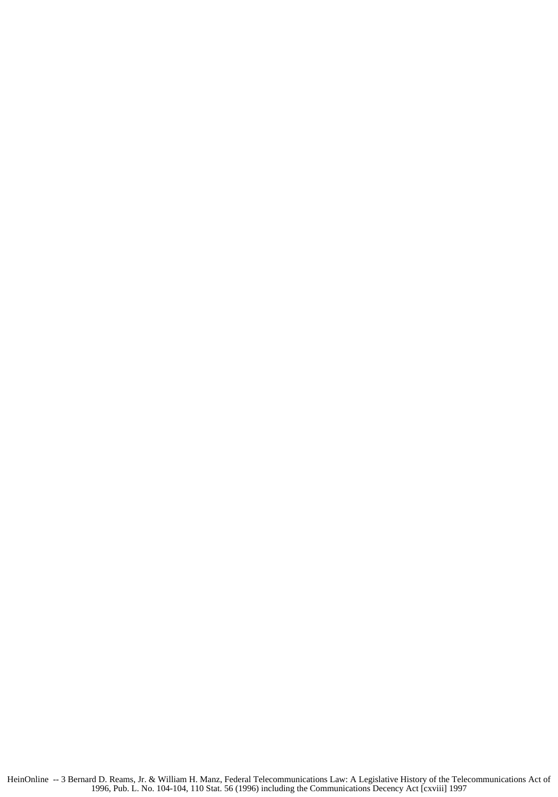HeinOnline -- 3 Bernard D. Reams, Jr. & William H. Manz, Federal Telecommunications Law: A Legislative History of the Telecommunications Act of 1996, Pub. L. No. 104-104, 110 Stat. 56 (1996) including the Communications Decency Act [cxviii] 1997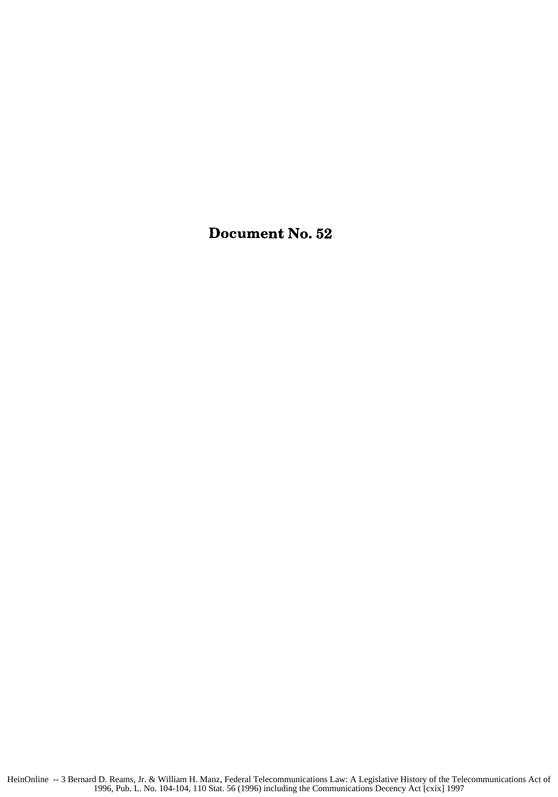Document No. **52**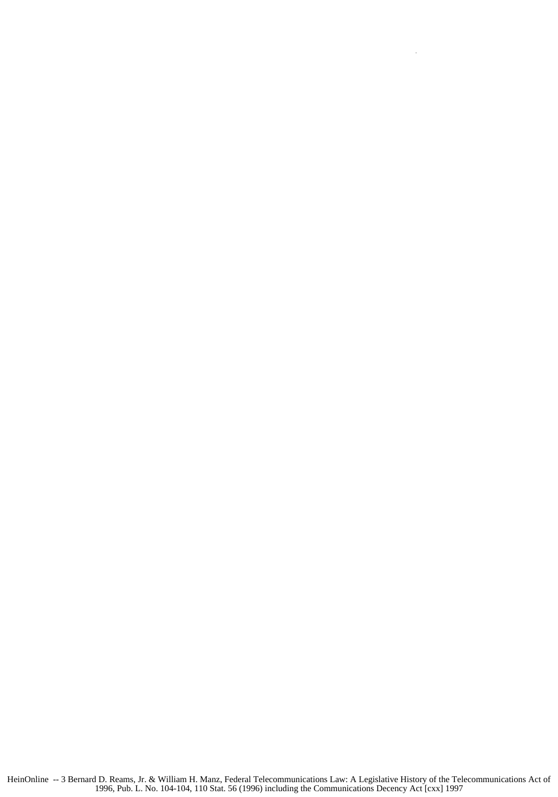HeinOnline -- 3 Bernard D. Reams, Jr. & William H. Manz, Federal Telecommunications Law: A Legislative History of the Telecommunications Act of 1996, Pub. L. No. 104-104, 110 Stat. 56 (1996) including the Communications Decency Act [cxx] 1997

 $\ddot{\phantom{a}}$